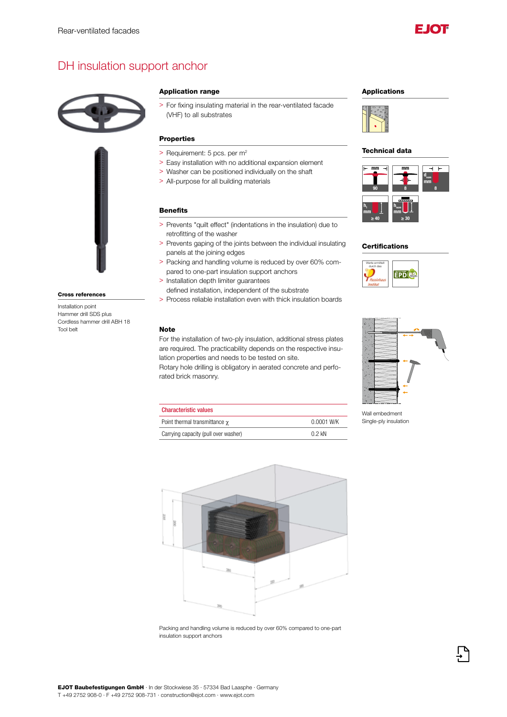

# DH insulation support anchor





#### Cross references

Installation point Hammer drill SDS plus Cordless hammer drill ABH 18 Tool belt

### Application range

> For fixing insulating material in the rear-ventilated facade (VHF) to all substrates

### Properties

- > Requirement: 5 pcs. per m<sup>2</sup>
- > Easy installation with no additional expansion element
- > Washer can be positioned individually on the shaft
- > All-purpose for all building materials

## Benefits

- > Prevents "quilt effect" (indentations in the insulation) due to retrofitting of the washer
- > Prevents gaping of the joints between the individual insulating panels at the joining edges
- > Packing and handling volume is reduced by over 60% compared to one-part insulation support anchors
- > Installation depth limiter guarantees
- defined installation, independent of the substrate > Process reliable installation even with thick insulation boards

#### Note

For the installation of two-ply insulation, additional stress plates are required. The practicability depends on the respective insulation properties and needs to be tested on site.

Rotary hole drilling is obligatory in aerated concrete and perforated brick masonry.

|  | <b>Applications</b> |
|--|---------------------|
|--|---------------------|



#### Technical data



### **Certifications**





Wall embedment Single-ply insulation





Packing and handling volume is reduced by over 60% compared to one-part insulation support anchors